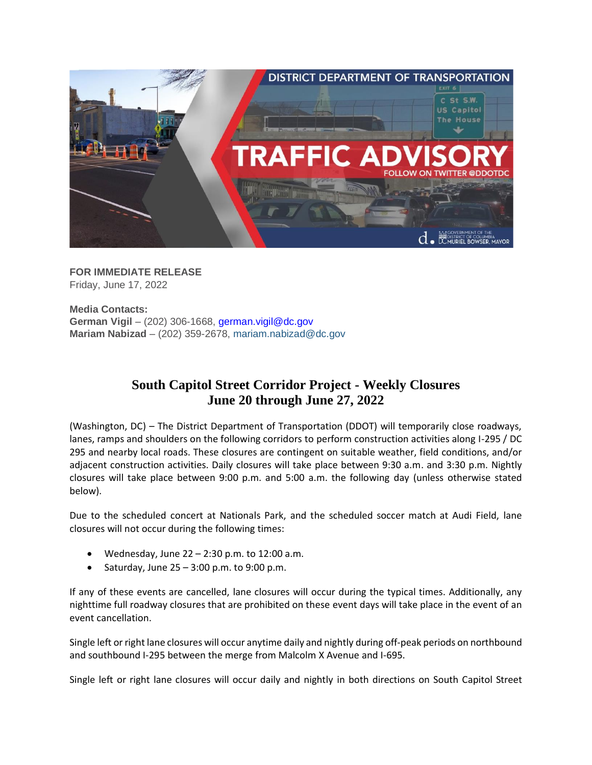

**FOR IMMEDIATE RELEASE** Friday, June 17, 2022

**Media Contacts: German Vigil** – (202) 306-1668, [german.vigil@dc.gov](mailto:german.vigil@dc.gov) **Mariam Nabizad** – (202) 359-2678, [mariam.nabizad@dc.gov](mailto:mariam.nabizad@dc.gov)

# **South Capitol Street Corridor Project - Weekly Closures June 20 through June 27, 2022**

(Washington, DC) – The District Department of Transportation (DDOT) will temporarily close roadways, lanes, ramps and shoulders on the following corridors to perform construction activities along I-295 / DC 295 and nearby local roads. These closures are contingent on suitable weather, field conditions, and/or adjacent construction activities. Daily closures will take place between 9:30 a.m. and 3:30 p.m. Nightly closures will take place between 9:00 p.m. and 5:00 a.m. the following day (unless otherwise stated below).

Due to the scheduled concert at Nationals Park, and the scheduled soccer match at Audi Field, lane closures will not occur during the following times:

- Wednesday, June 22 2:30 p.m. to 12:00 a.m.
- Saturday, June  $25 3:00$  p.m. to  $9:00$  p.m.

If any of these events are cancelled, lane closures will occur during the typical times. Additionally, any nighttime full roadway closures that are prohibited on these event days will take place in the event of an event cancellation.

Single left or right lane closures will occur anytime daily and nightly during off-peak periods on northbound and southbound I-295 between the merge from Malcolm X Avenue and I-695.

Single left or right lane closures will occur daily and nightly in both directions on South Capitol Street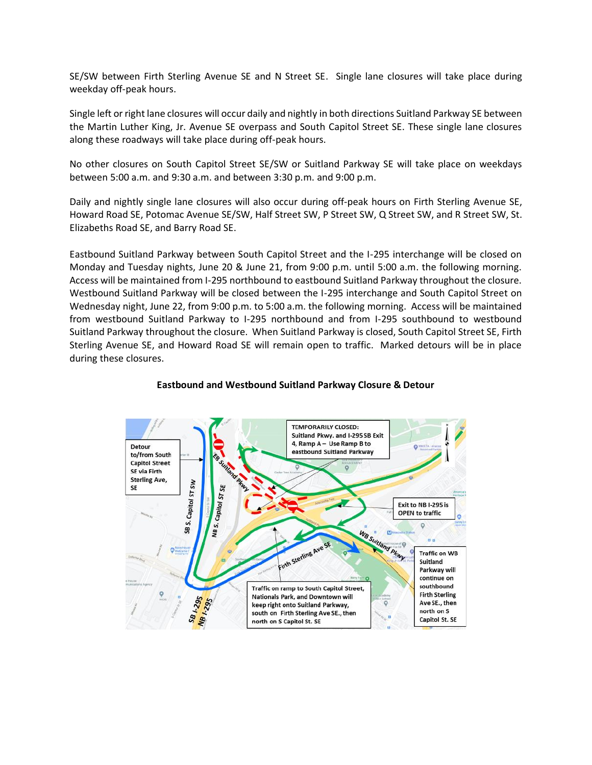SE/SW between Firth Sterling Avenue SE and N Street SE. Single lane closures will take place during weekday off-peak hours.

Single left or right lane closures will occur daily and nightly in both directions Suitland Parkway SE between the Martin Luther King, Jr. Avenue SE overpass and South Capitol Street SE. These single lane closures along these roadways will take place during off-peak hours.

No other closures on South Capitol Street SE/SW or Suitland Parkway SE will take place on weekdays between 5:00 a.m. and 9:30 a.m. and between 3:30 p.m. and 9:00 p.m.

Daily and nightly single lane closures will also occur during off-peak hours on Firth Sterling Avenue SE, Howard Road SE, Potomac Avenue SE/SW, Half Street SW, P Street SW, Q Street SW, and R Street SW, St. Elizabeths Road SE, and Barry Road SE.

Eastbound Suitland Parkway between South Capitol Street and the I-295 interchange will be closed on Monday and Tuesday nights, June 20 & June 21, from 9:00 p.m. until 5:00 a.m. the following morning. Access will be maintained from I-295 northbound to eastbound Suitland Parkway throughout the closure. Westbound Suitland Parkway will be closed between the I-295 interchange and South Capitol Street on Wednesday night, June 22, from 9:00 p.m. to 5:00 a.m. the following morning. Access will be maintained from westbound Suitland Parkway to I-295 northbound and from I-295 southbound to westbound Suitland Parkway throughout the closure. When Suitland Parkway is closed, South Capitol Street SE, Firth Sterling Avenue SE, and Howard Road SE will remain open to traffic. Marked detours will be in place during these closures.



### **Eastbound and Westbound Suitland Parkway Closure & Detour**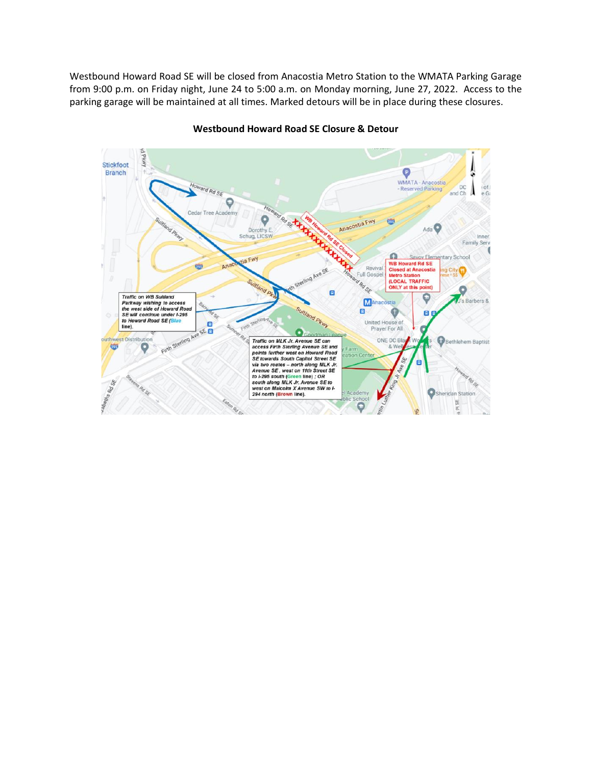Westbound Howard Road SE will be closed from Anacostia Metro Station to the WMATA Parking Garage from 9:00 p.m. on Friday night, June 24 to 5:00 a.m. on Monday morning, June 27, 2022. Access to the parking garage will be maintained at all times. Marked detours will be in place during these closures.



#### **Westbound Howard Road SE Closure & Detour**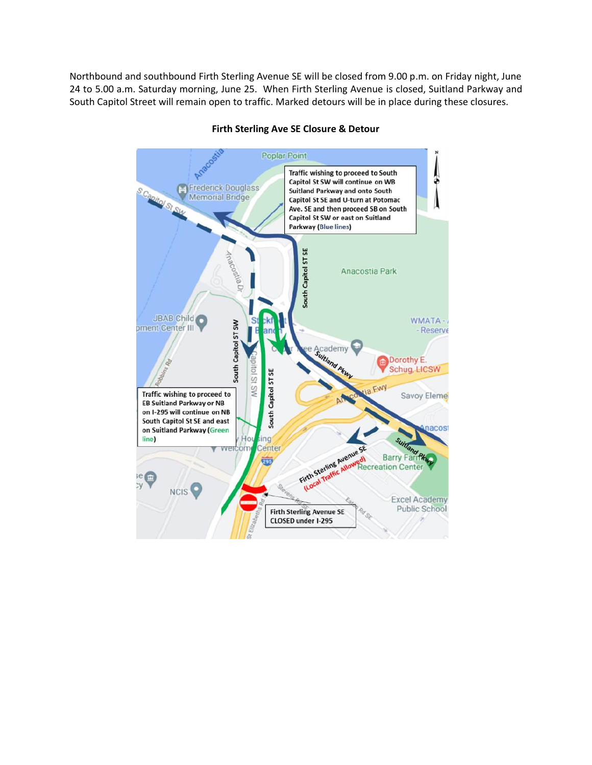Northbound and southbound Firth Sterling Avenue SE will be closed from 9.00 p.m. on Friday night, June 24 to 5.00 a.m. Saturday morning, June 25. When Firth Sterling Avenue is closed, Suitland Parkway and South Capitol Street will remain open to traffic. Marked detours will be in place during these closures.



# **Firth Sterling Ave SE Closure & Detour**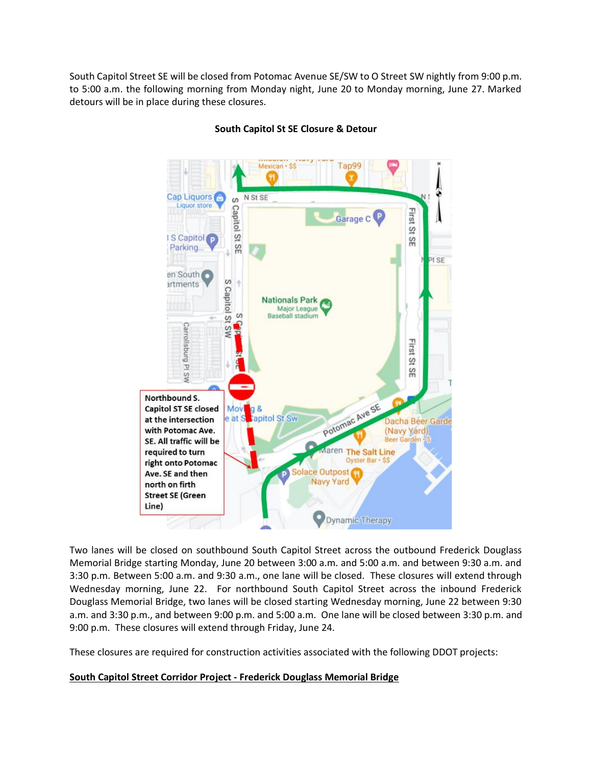South Capitol Street SE will be closed from Potomac Avenue SE/SW to O Street SW nightly from 9:00 p.m. to 5:00 a.m. the following morning from Monday night, June 20 to Monday morning, June 27. Marked detours will be in place during these closures.



# **South Capitol St SE Closure & Detour**

Two lanes will be closed on southbound South Capitol Street across the outbound Frederick Douglass Memorial Bridge starting Monday, June 20 between 3:00 a.m. and 5:00 a.m. and between 9:30 a.m. and 3:30 p.m. Between 5:00 a.m. and 9:30 a.m., one lane will be closed. These closures will extend through Wednesday morning, June 22. For northbound South Capitol Street across the inbound Frederick Douglass Memorial Bridge, two lanes will be closed starting Wednesday morning, June 22 between 9:30 a.m. and 3:30 p.m., and between 9:00 p.m. and 5:00 a.m. One lane will be closed between 3:30 p.m. and 9:00 p.m. These closures will extend through Friday, June 24.

These closures are required for construction activities associated with the following DDOT projects:

## **South Capitol Street Corridor Project - Frederick Douglass Memorial Bridge**